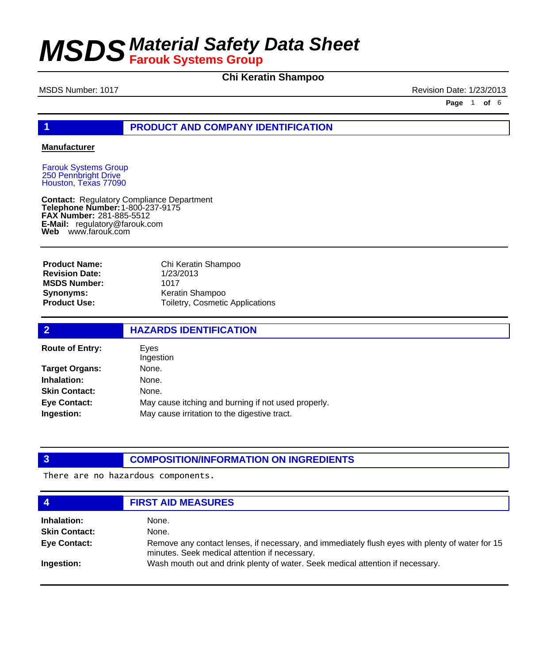### **Chi Keratin Shampoo**

MSDS Number: 1017 **MSDS Number: 1017** Revision Date: 1/23/2013

**Page** 1 **of** 6

### **1 PRODUCT AND COMPANY IDENTIFICATION**

#### **Manufacturer**

Farouk Systems Group 250 Pennbright Drive Houston, Texas 77090

**Contact: Telephone Number: FAX Number:** 281-885-5512 **E-Mail:** regulatory@farouk.com **Web** www.farouk.com Regulatory Compliance Department 1-800-237-9175

**Product Name: Revision Date: MSDS Number: Synonyms: Product Use:**

Chi Keratin Shampoo 1/23/2013 1017 Keratin Shampoo Toiletry, Cosmetic Applications

| $\overline{2}$         | <b>HAZARDS IDENTIFICATION</b>                       |  |  |
|------------------------|-----------------------------------------------------|--|--|
| <b>Route of Entry:</b> | Eyes<br>Ingestion                                   |  |  |
| <b>Target Organs:</b>  | None.                                               |  |  |
| Inhalation:            | None.                                               |  |  |
| <b>Skin Contact:</b>   | None.                                               |  |  |
| <b>Eye Contact:</b>    | May cause itching and burning if not used properly. |  |  |
| Ingestion:             | May cause irritation to the digestive tract.        |  |  |

### **3 COMPOSITION/INFORMATION ON INGREDIENTS**

There are no hazardous components.

| 4                    | <b>FIRST AID MEASURES</b>                                                                                                                        |
|----------------------|--------------------------------------------------------------------------------------------------------------------------------------------------|
| Inhalation:          | None.                                                                                                                                            |
| <b>Skin Contact:</b> | None.                                                                                                                                            |
| <b>Eye Contact:</b>  | Remove any contact lenses, if necessary, and immediately flush eyes with plenty of water for 15<br>minutes. Seek medical attention if necessary. |
| Ingestion:           | Wash mouth out and drink plenty of water. Seek medical attention if necessary.                                                                   |
|                      |                                                                                                                                                  |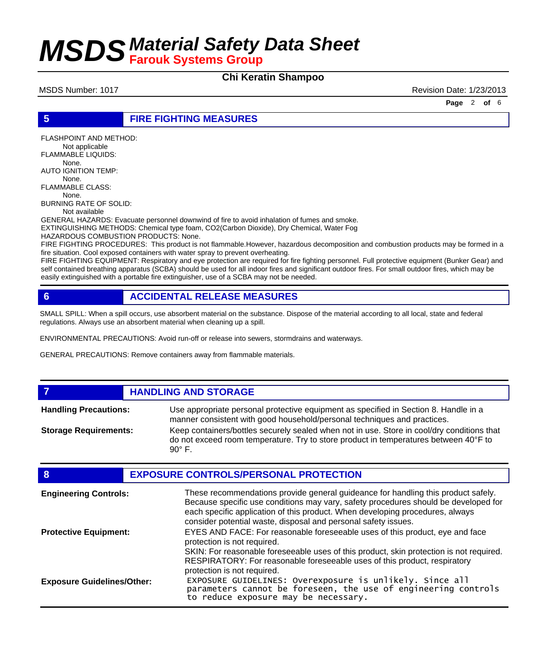### **Chi Keratin Shampoo**

MSDS Number: 1017 Revision Date: 1/23/2013

**Page** 2 **of** 6

#### **5 FIRE FIGHTING MEASURES**

FLASHPOINT AND METHOD: Not applicable FLAMMABLE LIQUIDS: None. AUTO IGNITION TEMP: None. FLAMMABLE CLASS: None. BURNING RATE OF SOLID: Not available

GENERAL HAZARDS: Evacuate personnel downwind of fire to avoid inhalation of fumes and smoke.

EXTINGUISHING METHODS: Chemical type foam, CO2(Carbon Dioxide), Dry Chemical, Water Fog HAZARDOUS COMBUSTION PRODUCTS: None.

FIRE FIGHTING PROCEDURES: This product is not flammable.However, hazardous decomposition and combustion products may be formed in a fire situation. Cool exposed containers with water spray to prevent overheating.

FIRE FIGHTING EQUIPMENT: Respiratory and eye protection are required for fire fighting personnel. Full protective equipment (Bunker Gear) and self contained breathing apparatus (SCBA) should be used for all indoor fires and significant outdoor fires. For small outdoor fires, which may be easily extinguished with a portable fire extinguisher, use of a SCBA may not be needed.

### **6 ACCIDENTAL RELEASE MEASURES**

SMALL SPILL: When a spill occurs, use absorbent material on the substance. Dispose of the material according to all local, state and federal regulations. Always use an absorbent material when cleaning up a spill.

ENVIRONMENTAL PRECAUTIONS: Avoid run-off or release into sewers, stormdrains and waterways.

GENERAL PRECAUTIONS: Remove containers away from flammable materials.

#### **7 HANDLING AND STORAGE**

Use appropriate personal protective equipment as specified in Section 8. Handle in a manner consistent with good household/personal techniques and practices. **Handling Precautions:** Keep containers/bottles securely sealed when not in use. Store in cool/dry conditions that do not exceed room temperature. Try to store product in temperatures between 40°F to  $90^\circ$  F. **Storage Requirements:**

| 8                                 | <b>EXPOSURE CONTROLS/PERSONAL PROTECTION</b>                                                                                                                                                                                                                                                                                |
|-----------------------------------|-----------------------------------------------------------------------------------------------------------------------------------------------------------------------------------------------------------------------------------------------------------------------------------------------------------------------------|
| <b>Engineering Controls:</b>      | These recommendations provide general guideance for handling this product safely.<br>Because specific use conditions may vary, safety procedures should be developed for<br>each specific application of this product. When developing procedures, always<br>consider potential waste, disposal and personal safety issues. |
| <b>Protective Equipment:</b>      | EYES AND FACE: For reasonable foreseeable uses of this product, eye and face<br>protection is not required.<br>SKIN: For reasonable foreseeable uses of this product, skin protection is not required.<br>RESPIRATORY: For reasonable foreseeable uses of this product, respiratory                                         |
| <b>Exposure Guidelines/Other:</b> | protection is not required.<br>EXPOSURE GUIDELINES: Overexposure is unlikely. Since all<br>parameters cannot be foreseen, the use of engineering controls<br>to reduce exposure may be necessary.                                                                                                                           |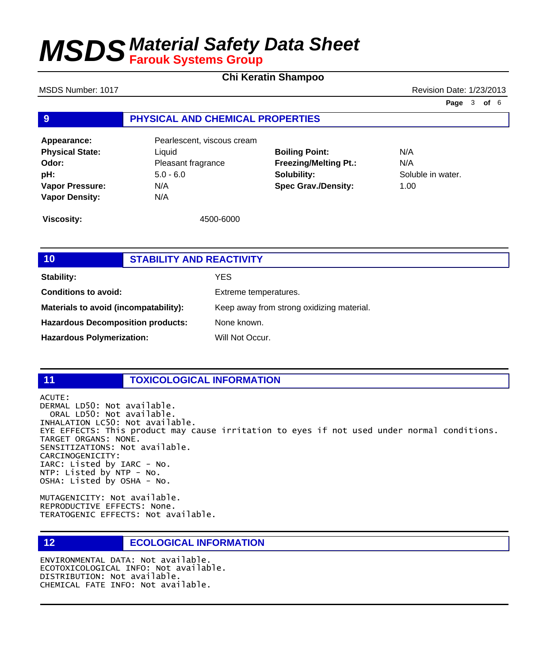### **Chi Keratin Shampoo**

**9 PHYSICAL AND CHEMICAL PROPERTIES Appearance:** Pearlescent, viscous cream **Physical State:** Liquid **Odor:** Pleasant fragrance **pH:** 5.0 - 6.0 **Boiling Point:** N/A **Freezing/Melting Pt.:** N/A **Solubility:** Soluble in water. MSDS Number: 1017 **MSDS Number: 1017** Revision Date: 1/23/2013 **Page** 3 **of** 6

**Spec Grav./Density:** 1.00

**Viscosity:** 4500-6000

**Vapor Pressure:** N/A **Vapor Density:** N/A

| 10                                       | <b>STABILITY AND REACTIVITY</b> |                                           |  |
|------------------------------------------|---------------------------------|-------------------------------------------|--|
| Stability:                               |                                 | <b>YES</b>                                |  |
| <b>Conditions to avoid:</b>              |                                 | Extreme temperatures.                     |  |
| Materials to avoid (incompatability):    |                                 | Keep away from strong oxidizing material. |  |
| <b>Hazardous Decomposition products:</b> |                                 | None known.                               |  |
| <b>Hazardous Polymerization:</b>         |                                 | Will Not Occur.                           |  |

### **11 TOXICOLOGICAL INFORMATION**

ACUTE: DERMAL LD50: Not available. ORAL LD50: Not available. INHALATION LC50: Not available. EYE EFFECTS: This product may cause irritation to eyes if not used under normal conditions. TARGET ORGANS: NONE. SENSITIZATIONS: Not available. CARCINOGENICITY: IARC: Listed by IARC - No. NTP: Listed by NTP - No. OSHA: Listed by OSHA - No.

MUTAGENICITY: Not available. REPRODUCTIVE EFFECTS: None. TERATOGENIC EFFECTS: Not available.

**12 ECOLOGICAL INFORMATION** 

ENVIRONMENTAL DATA: Not available. ECOTOXICOLOGICAL INFO: Not available. DISTRIBUTION: Not available. CHEMICAL FATE INFO: Not available.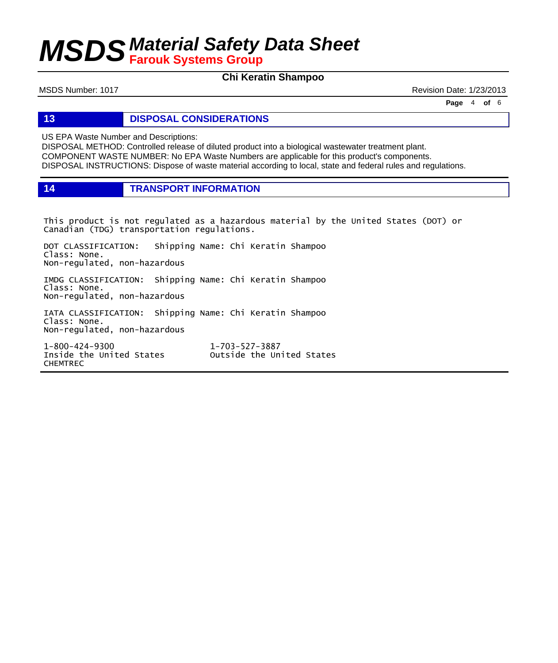### **Chi Keratin Shampoo**

MSDS Number: 1017 **MSDS Number: 1017** Revision Date: 1/23/2013

**Page** 4 **of** 6

**13 DISPOSAL CONSIDERATIONS**

US EPA Waste Number and Descriptions:

DISPOSAL METHOD: Controlled release of diluted product into a biological wastewater treatment plant. COMPONENT WASTE NUMBER: No EPA Waste Numbers are applicable for this product's components. DISPOSAL INSTRUCTIONS: Dispose of waste material according to local, state and federal rules and regulations.

**14 TRANSPORT INFORMATION**

This product is not regulated as a hazardous material by the United States (DOT) or Canadian (TDG) transportation regulations.

DOT CLASSIFICATION: Shipping Name: Chi Keratin Shampoo Class: None. Non-regulated, non-hazardous

IMDG CLASSIFICATION: Shipping Name: Chi Keratin Shampoo Class: None. Non-regulated, non-hazardous

IATA CLASSIFICATION: Shipping Name: Chi Keratin Shampoo Class: None. Non-regulated, non-hazardous

1-800-424-9300 1-703-527-3887 CHEMTREC

Outside the United States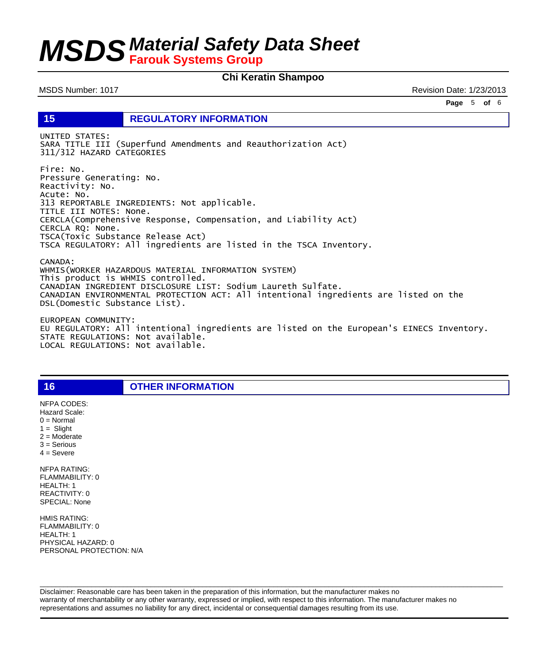### **Chi Keratin Shampoo**

MSDS Number: 1017 Revision Date: 1/23/2013

**Page** 5 **of** 6

**15 REGULATORY INFORMATION**

UNITED STATES: SARA TITLE III (Superfund Amendments and Reauthorization Act) 311/312 HAZARD CATEGORIES

Fire: No. Pressure Generating: No. Reactivity: No. Acute: No. 313 REPORTABLE INGREDIENTS: Not applicable. TITLE III NOTES: None. CERCLA(Comprehensive Response, Compensation, and Liability Act) CERCLA RQ: None. TSCA(Toxic Substance Release Act) TSCA REGULATORY: All ingredients are listed in the TSCA Inventory.

CANADA: WHMIS(WORKER HAZARDOUS MATERIAL INFORMATION SYSTEM) This product is WHMIS controlled. CANADIAN INGREDIENT DISCLOSURE LIST: Sodium Laureth Sulfate. CANADIAN ENVIRONMENTAL PROTECTION ACT: All intentional ingredients are listed on the DSL(Domestic Substance List).

EUROPEAN COMMUNITY: EU REGULATORY: All intentional ingredients are listed on the European's EINECS Inventory. STATE REGULATIONS: Not available. LOCAL REGULATIONS: Not available.

2 = Moderate 3 = Serious  $4 =$  Severe NFPA RATING: FLAMMABILITY: 0 HEALTH: 1 REACTIVITY: 0 SPECIAL: None

NFPA CODES: Hazard Scale:  $0 =$  Normal  $1 =$  Slight

HMIS RATING: FLAMMABILITY: 0 HEALTH: 1 PHYSICAL HAZARD: 0 PERSONAL PROTECTION: N/A

**16 OTHER INFORMATION**

Disclaimer: Reasonable care has been taken in the preparation of this information, but the manufacturer makes no warranty of merchantability or any other warranty, expressed or implied, with respect to this information. The manufacturer makes no representations and assumes no liability for any direct, incidental or consequential damages resulting from its use.

 $\Box$  . The contribution of the contribution of the contribution of the contribution of the contribution of the contribution of the contribution of the contribution of the contribution of the contribution of the contributi